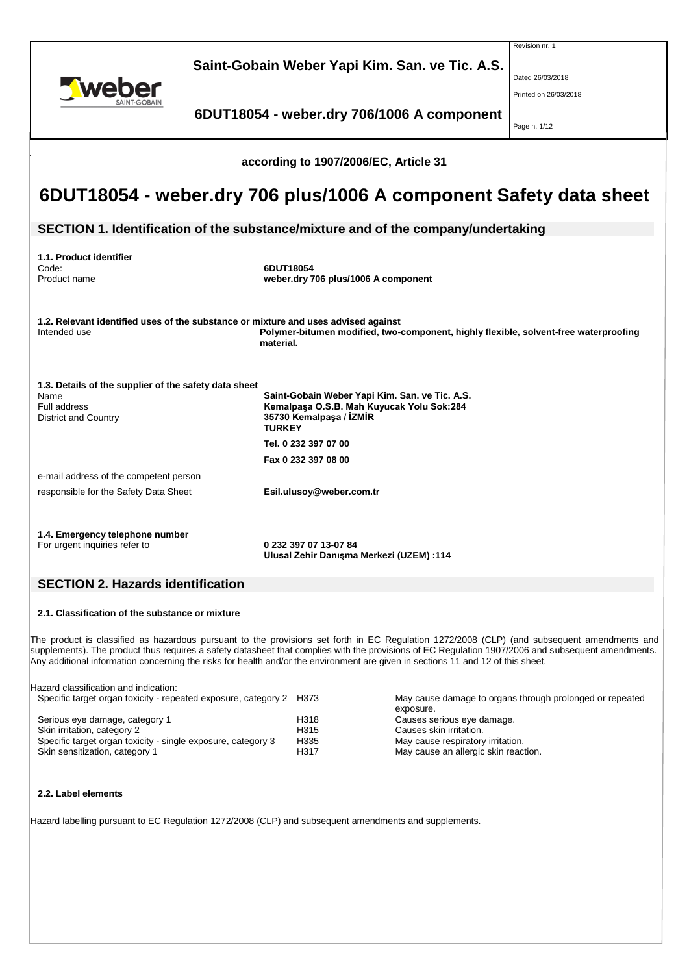|                                                                                                                                                                                                         | Saint-Gobain Weber Yapi Kim. San. ve Tic. A.S.                                                                                          | Revision nr. 1<br>Dated 26/03/2018    |  |  |  |
|---------------------------------------------------------------------------------------------------------------------------------------------------------------------------------------------------------|-----------------------------------------------------------------------------------------------------------------------------------------|---------------------------------------|--|--|--|
|                                                                                                                                                                                                         | 6DUT18054 - weber.dry 706/1006 A component                                                                                              | Printed on 26/03/2018<br>Page n. 1/12 |  |  |  |
| according to 1907/2006/EC, Article 31                                                                                                                                                                   |                                                                                                                                         |                                       |  |  |  |
|                                                                                                                                                                                                         | 6DUT18054 - weber.dry 706 plus/1006 A component Safety data sheet                                                                       |                                       |  |  |  |
|                                                                                                                                                                                                         | SECTION 1. Identification of the substance/mixture and of the company/undertaking                                                       |                                       |  |  |  |
| 1.1. Product identifier<br>Code:<br>Product name                                                                                                                                                        | 6DUT18054<br>weber.dry 706 plus/1006 A component                                                                                        |                                       |  |  |  |
| 1.2. Relevant identified uses of the substance or mixture and uses advised against<br>Polymer-bitumen modified, two-component, highly flexible, solvent-free waterproofing<br>Intended use<br>material. |                                                                                                                                         |                                       |  |  |  |
| 1.3. Details of the supplier of the safety data sheet<br>Name<br>Full address<br><b>District and Country</b>                                                                                            | Saint-Gobain Weber Yapi Kim. San. ve Tic. A.S.<br>Kemalpaşa O.S.B. Mah Kuyucak Yolu Sok:284<br>35730 Kemalpaşa / İZMİR<br><b>TURKEY</b> |                                       |  |  |  |
|                                                                                                                                                                                                         | Tel. 0 232 397 07 00                                                                                                                    |                                       |  |  |  |
|                                                                                                                                                                                                         | Fax 0 232 397 08 00                                                                                                                     |                                       |  |  |  |
| e-mail address of the competent person<br>responsible for the Safety Data Sheet                                                                                                                         | Esil.ulusoy@weber.com.tr                                                                                                                |                                       |  |  |  |
| 1.4. Emergency telephone number<br>For urgent inquiries refer to                                                                                                                                        | 0 232 397 07 13-07 84<br>Ulusal Zehir Danışma Merkezi (UZEM) :114                                                                       |                                       |  |  |  |

# **SECTION 2. Hazards identification**

## **2.1. Classification of the substance or mixture**

The product is classified as hazardous pursuant to the provisions set forth in EC Regulation 1272/2008 (CLP) (and subsequent amendments and supplements). The product thus requires a safety datasheet that complies with the provisions of EC Regulation 1907/2006 and subsequent amendments. Any additional information concerning the risks for health and/or the environment are given in sections 11 and 12 of this sheet.

| Hazard classification and indication:                               |      |                                                          |
|---------------------------------------------------------------------|------|----------------------------------------------------------|
| Specific target organ toxicity - repeated exposure, category 2 H373 |      | May cause damage to organs through prolonged or repeated |
|                                                                     |      | exposure.                                                |
| Serious eye damage, category 1                                      | H318 | Causes serious eye damage.                               |
| Skin irritation, category 2                                         | H315 | Causes skin irritation.                                  |
| Specific target organ toxicity - single exposure, category 3        | H335 | May cause respiratory irritation.                        |
| Skin sensitization, category 1                                      | H317 | May cause an allergic skin reaction.                     |
|                                                                     |      |                                                          |

## **2.2. Label elements**

Hazard labelling pursuant to EC Regulation 1272/2008 (CLP) and subsequent amendments and supplements.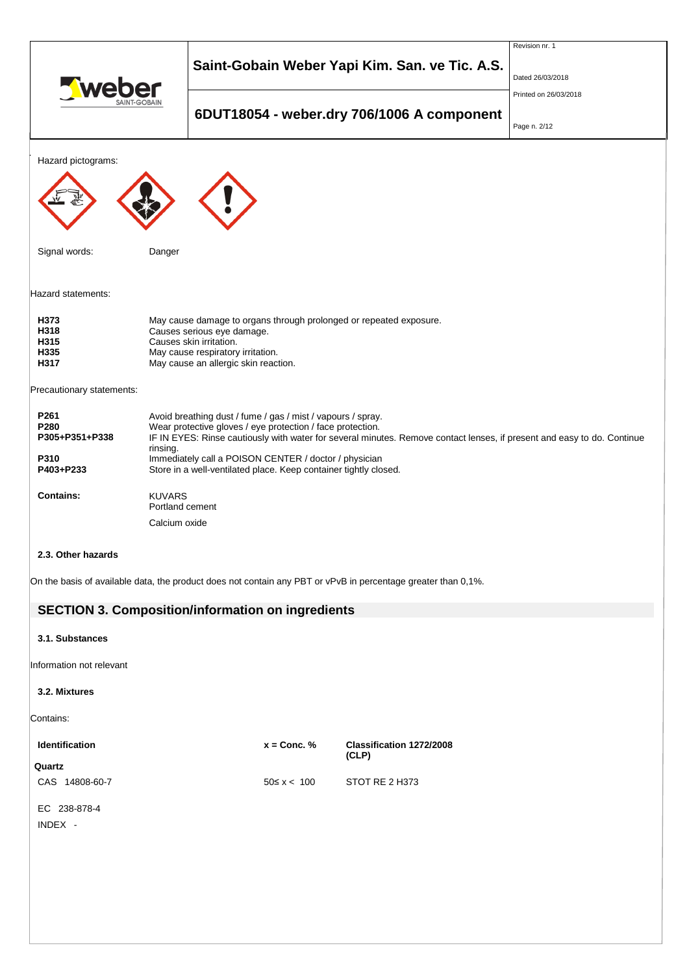|                                                                                                                                                                                                                                                                                                                                                                                                                                                      | Saint-Gobain Weber Yapi Kim. San. ve Tic. A.S.    |                  | Revision nr. 1<br>Dated 26/03/2018                                                                            |  |  |
|------------------------------------------------------------------------------------------------------------------------------------------------------------------------------------------------------------------------------------------------------------------------------------------------------------------------------------------------------------------------------------------------------------------------------------------------------|---------------------------------------------------|------------------|---------------------------------------------------------------------------------------------------------------|--|--|
|                                                                                                                                                                                                                                                                                                                                                                                                                                                      | 6DUT18054 - weber.dry 706/1006 A component        |                  | Printed on 26/03/2018<br>Page n. 2/12                                                                         |  |  |
| Hazard pictograms:                                                                                                                                                                                                                                                                                                                                                                                                                                   |                                                   |                  |                                                                                                               |  |  |
| Signal words:                                                                                                                                                                                                                                                                                                                                                                                                                                        | Danger                                            |                  |                                                                                                               |  |  |
| Hazard statements:                                                                                                                                                                                                                                                                                                                                                                                                                                   |                                                   |                  |                                                                                                               |  |  |
| H373<br>May cause damage to organs through prolonged or repeated exposure.<br>H318<br>Causes serious eye damage.<br>H315<br>Causes skin irritation.<br>H335<br>May cause respiratory irritation.<br>May cause an allergic skin reaction.<br>H317                                                                                                                                                                                                     |                                                   |                  |                                                                                                               |  |  |
| Precautionary statements:                                                                                                                                                                                                                                                                                                                                                                                                                            |                                                   |                  |                                                                                                               |  |  |
| P261<br>Avoid breathing dust / fume / gas / mist / vapours / spray.<br>P280<br>Wear protective gloves / eye protection / face protection.<br>IF IN EYES: Rinse cautiously with water for several minutes. Remove contact lenses, if present and easy to do. Continue<br>P305+P351+P338<br>rinsing.<br>P310<br>Immediately call a POISON CENTER / doctor / physician<br>P403+P233<br>Store in a well-ventilated place. Keep container tightly closed. |                                                   |                  |                                                                                                               |  |  |
| <b>Contains:</b>                                                                                                                                                                                                                                                                                                                                                                                                                                     | <b>KUVARS</b><br>Portland cement<br>Calcium oxide |                  |                                                                                                               |  |  |
| 2.3. Other hazards                                                                                                                                                                                                                                                                                                                                                                                                                                   |                                                   |                  |                                                                                                               |  |  |
|                                                                                                                                                                                                                                                                                                                                                                                                                                                      |                                                   |                  | On the basis of available data, the product does not contain any PBT or vPvB in percentage greater than 0,1%. |  |  |
| <b>SECTION 3. Composition/information on ingredients</b>                                                                                                                                                                                                                                                                                                                                                                                             |                                                   |                  |                                                                                                               |  |  |
| 3.1. Substances                                                                                                                                                                                                                                                                                                                                                                                                                                      |                                                   |                  |                                                                                                               |  |  |
| Information not relevant                                                                                                                                                                                                                                                                                                                                                                                                                             |                                                   |                  |                                                                                                               |  |  |
| 3.2. Mixtures                                                                                                                                                                                                                                                                                                                                                                                                                                        |                                                   |                  |                                                                                                               |  |  |
| Contains:                                                                                                                                                                                                                                                                                                                                                                                                                                            |                                                   |                  |                                                                                                               |  |  |
| Identification                                                                                                                                                                                                                                                                                                                                                                                                                                       |                                                   | $x =$ Conc. %    | Classification 1272/2008<br>(CLP)                                                                             |  |  |
| Quartz<br>CAS 14808-60-7                                                                                                                                                                                                                                                                                                                                                                                                                             |                                                   | $50 \le x < 100$ | STOT RE 2 H373                                                                                                |  |  |

EC 238-878-4

INDEX -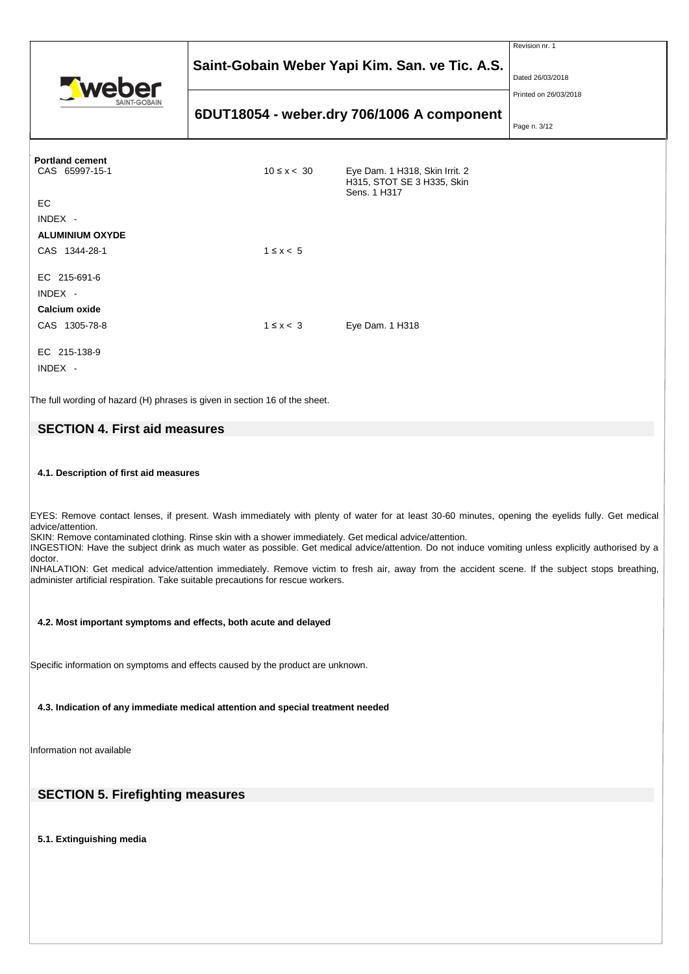|                                                           | Saint-Gobain Weber Yapi Kim. San. ve Tic. A.S. | Revision nr. 1<br>Dated 26/03/2018                                           |                                       |
|-----------------------------------------------------------|------------------------------------------------|------------------------------------------------------------------------------|---------------------------------------|
|                                                           |                                                | 6DUT18054 - weber.dry 706/1006 A component                                   | Printed on 26/03/2018<br>Page n. 3/12 |
| <b>Portland cement</b><br>CAS 65997-15-1<br>EC            | $10 \le x < 30$                                | Eye Dam. 1 H318, Skin Irrit. 2<br>H315, STOT SE 3 H335, Skin<br>Sens. 1 H317 |                                       |
| INDEX -<br><b>ALUMINIUM OXYDE</b><br>CAS 1344-28-1        | $1 \leq x < 5$                                 |                                                                              |                                       |
| EC 215-691-6<br>INDEX -<br>Calcium oxide<br>CAS 1305-78-8 | $1 \leq x < 3$                                 | Eye Dam. 1 H318                                                              |                                       |
| EC 215-138-9<br>INDEX -                                   |                                                |                                                                              |                                       |

The full wording of hazard (H) phrases is given in section 16 of the sheet.

# **SECTION 4. First aid measures**

## **4.1. Description of first aid measures**

EYES: Remove contact lenses, if present. Wash immediately with plenty of water for at least 30-60 minutes, opening the eyelids fully. Get medical advice/attention.

SKIN: Remove contaminated clothing. Rinse skin with a shower immediately. Get medical advice/attention.

INGESTION: Have the subject drink as much water as possible. Get medical advice/attention. Do not induce vomiting unless explicitly authorised by a doctor.

INHALATION: Get medical advice/attention immediately. Remove victim to fresh air, away from the accident scene. If the subject stops breathing, administer artificial respiration. Take suitable precautions for rescue workers.

### **4.2. Most important symptoms and effects, both acute and delayed**

Specific information on symptoms and effects caused by the product are unknown.

**4.3. Indication of any immediate medical attention and special treatment needed**

Information not available

# **SECTION 5. Firefighting measures**

**5.1. Extinguishing media**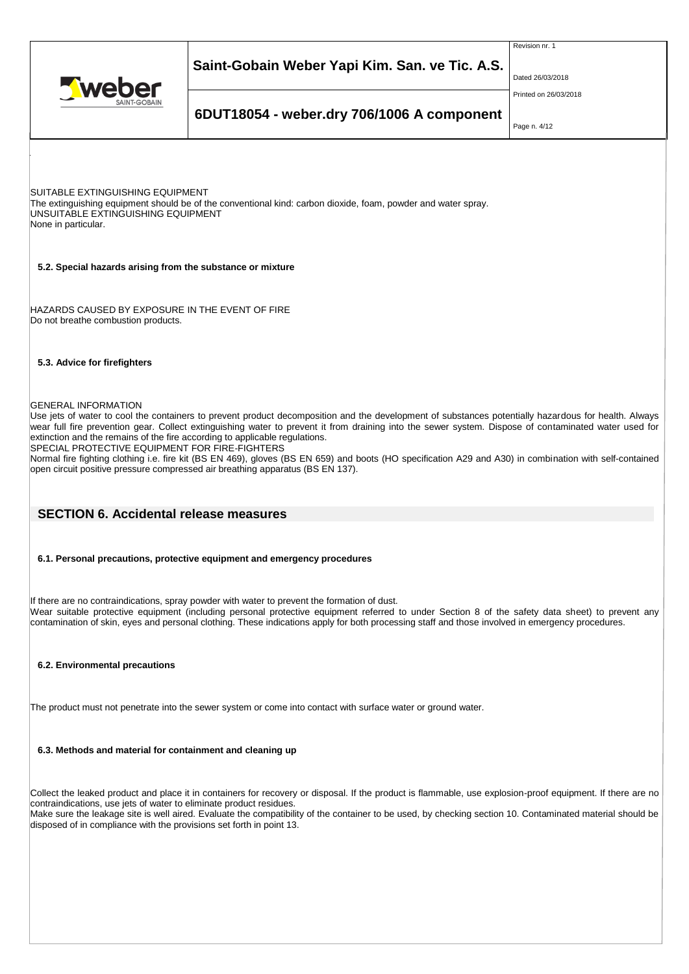

Revision nr. 1

Dated 26/03/2018

Printed on 26/03/2018

# **6DUT18054 - weber.dry 706/1006 A component**

Page n. 4/12

SUITABLE EXTINGUISHING EQUIPMENT The extinguishing equipment should be of the conventional kind: carbon dioxide, foam, powder and water spray. UNSUITABLE EXTINGUISHING EQUIPMENT None in particular.

### **5.2. Special hazards arising from the substance or mixture**

HAZARDS CAUSED BY EXPOSURE IN THE EVENT OF FIRE Do not breathe combustion products.

## **5.3. Advice for firefighters**

GENERAL INFORMATION

Use jets of water to cool the containers to prevent product decomposition and the development of substances potentially hazardous for health. Always wear full fire prevention gear. Collect extinguishing water to prevent it from draining into the sewer system. Dispose of contaminated water used for extinction and the remains of the fire according to applicable regulations.

SPECIAL PROTECTIVE EQUIPMENT FOR FIRE-FIGHTERS

Normal fire fighting clothing i.e. fire kit (BS EN 469), gloves (BS EN 659) and boots (HO specification A29 and A30) in combination with self-contained open circuit positive pressure compressed air breathing apparatus (BS EN 137).

## **SECTION 6. Accidental release measures**

### **6.1. Personal precautions, protective equipment and emergency procedures**

If there are no contraindications, spray powder with water to prevent the formation of dust. Wear suitable protective equipment (including personal protective equipment referred to under Section 8 of the safety data sheet) to prevent any contamination of skin, eyes and personal clothing. These indications apply for both processing staff and those involved in emergency procedures.

## **6.2. Environmental precautions**

The product must not penetrate into the sewer system or come into contact with surface water or ground water.

## **6.3. Methods and material for containment and cleaning up**

Collect the leaked product and place it in containers for recovery or disposal. If the product is flammable, use explosion-proof equipment. If there are no contraindications, use jets of water to eliminate product residues. Make sure the leakage site is well aired. Evaluate the compatibility of the container to be used, by checking section 10. Contaminated material should be disposed of in compliance with the provisions set forth in point 13.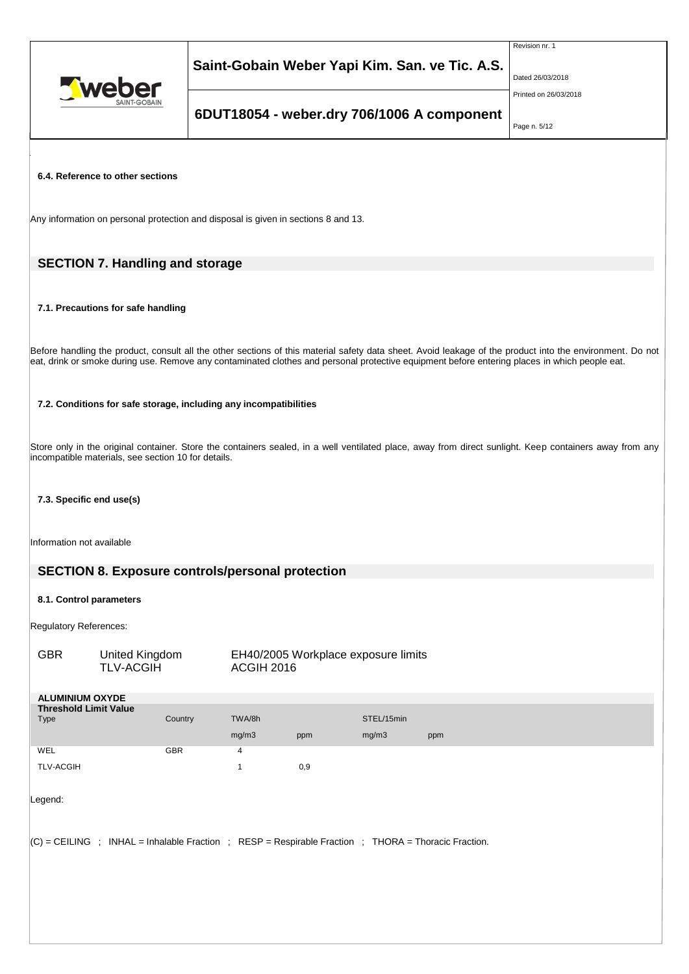

Revision nr. 1

Dated 26/03/2018

Printed on 26/03/2018

# **6DUT18054 - weber.dry 706/1006 A component**

Page n. 5/12

## **6.4. Reference to other sections**

Any information on personal protection and disposal is given in sections 8 and 13.

# **SECTION 7. Handling and storage**

### **7.1. Precautions for safe handling**

Before handling the product, consult all the other sections of this material safety data sheet. Avoid leakage of the product into the environment. Do not eat, drink or smoke during use. Remove any contaminated clothes and personal protective equipment before entering places in which people eat.

### **7.2. Conditions for safe storage, including any incompatibilities**

Store only in the original container. Store the containers sealed, in a well ventilated place, away from direct sunlight. Keep containers away from any incompatible materials, see section 10 for details.

## **7.3. Specific end use(s)**

Information not available

## **SECTION 8. Exposure controls/personal protection**

### **8.1. Control parameters**

Regulatory References:

| <b>GBR</b>                                                                                           | United Kingdom<br><b>TLV-ACGIH</b> |            | EH40/2005 Workplace exposure limits<br><b>ACGIH 2016</b> |     |            |     |
|------------------------------------------------------------------------------------------------------|------------------------------------|------------|----------------------------------------------------------|-----|------------|-----|
| <b>ALUMINIUM OXYDE</b>                                                                               |                                    |            |                                                          |     |            |     |
| <b>Threshold Limit Value</b>                                                                         |                                    |            |                                                          |     |            |     |
| Type                                                                                                 |                                    | Country    | TWA/8h                                                   |     | STEL/15min |     |
|                                                                                                      |                                    |            | mg/m3                                                    | ppm | mg/m3      | ppm |
| WEL                                                                                                  |                                    | <b>GBR</b> | 4                                                        |     |            |     |
| <b>TLV-ACGIH</b>                                                                                     |                                    |            | 1                                                        | 0,9 |            |     |
| Legend:                                                                                              |                                    |            |                                                          |     |            |     |
| (C) = CEILING ; INHAL = Inhalable Fraction ; RESP = Respirable Fraction ; THORA = Thoracic Fraction. |                                    |            |                                                          |     |            |     |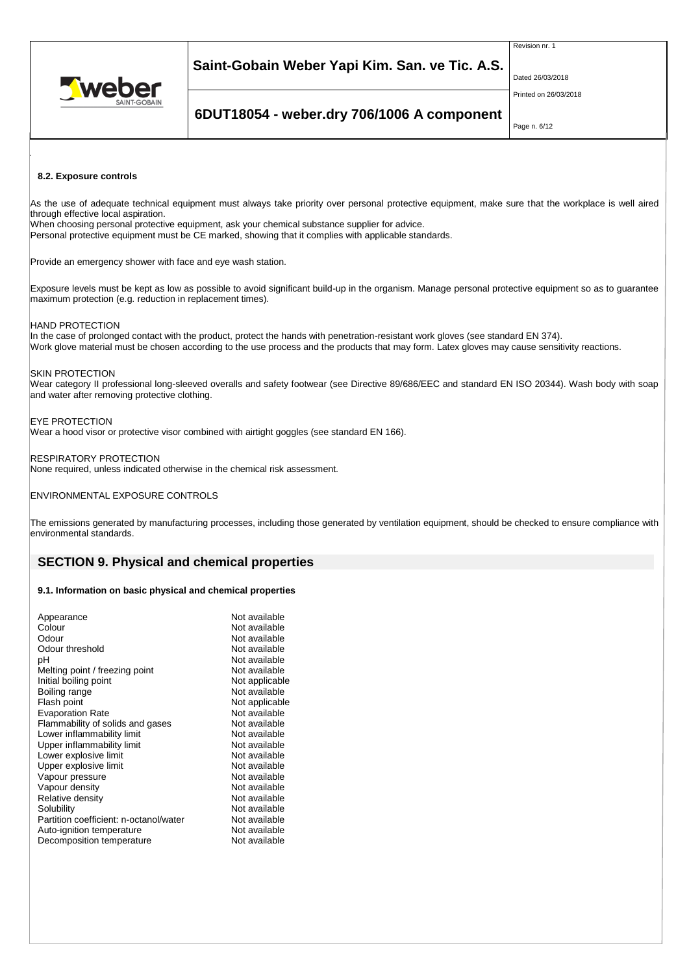

Revision nr. 1

Dated 26/03/2018

Printed on 26/03/2018

# **6DUT18054 - weber.dry 706/1006 A component**

Page n. 6/12

### **8.2. Exposure controls**

As the use of adequate technical equipment must always take priority over personal protective equipment, make sure that the workplace is well aired through effective local aspiration.

When choosing personal protective equipment, ask your chemical substance supplier for advice.

Personal protective equipment must be CE marked, showing that it complies with applicable standards.

Provide an emergency shower with face and eye wash station.

Exposure levels must be kept as low as possible to avoid significant build-up in the organism. Manage personal protective equipment so as to guarantee maximum protection (e.g. reduction in replacement times).

### HAND PROTECTION

In the case of prolonged contact with the product, protect the hands with penetration-resistant work gloves (see standard EN 374). Work glove material must be chosen according to the use process and the products that may form. Latex gloves may cause sensitivity reactions.

### SKIN PROTECTION

Wear category II professional long-sleeved overalls and safety footwear (see Directive 89/686/EEC and standard EN ISO 20344). Wash body with soap and water after removing protective clothing.

### EYE PROTECTION

Wear a hood visor or protective visor combined with airtight goggles (see standard EN 166).

### RESPIRATORY PROTECTION

None required, unless indicated otherwise in the chemical risk assessment.

### ENVIRONMENTAL EXPOSURE CONTROLS

The emissions generated by manufacturing processes, including those generated by ventilation equipment, should be checked to ensure compliance with environmental standards.

## **SECTION 9. Physical and chemical properties**

### **9.1. Information on basic physical and chemical properties**

| Appearance                             | Not available  |
|----------------------------------------|----------------|
| Colour                                 | Not available  |
| Odour                                  | Not available  |
| Odour threshold                        | Not available  |
| рH                                     | Not available  |
| Melting point / freezing point         | Not available  |
| Initial boiling point                  | Not applicable |
| Boiling range                          | Not available  |
| Flash point                            | Not applicable |
| <b>Evaporation Rate</b>                | Not available  |
| Flammability of solids and gases       | Not available  |
| Lower inflammability limit             | Not available  |
| Upper inflammability limit             | Not available  |
| Lower explosive limit                  | Not available  |
| Upper explosive limit                  | Not available  |
| Vapour pressure                        | Not available  |
| Vapour density                         | Not available  |
| Relative density                       | Not available  |
| Solubility                             | Not available  |
| Partition coefficient: n-octanol/water | Not available  |
| Auto-ignition temperature              | Not available  |
| Decomposition temperature              | Not available  |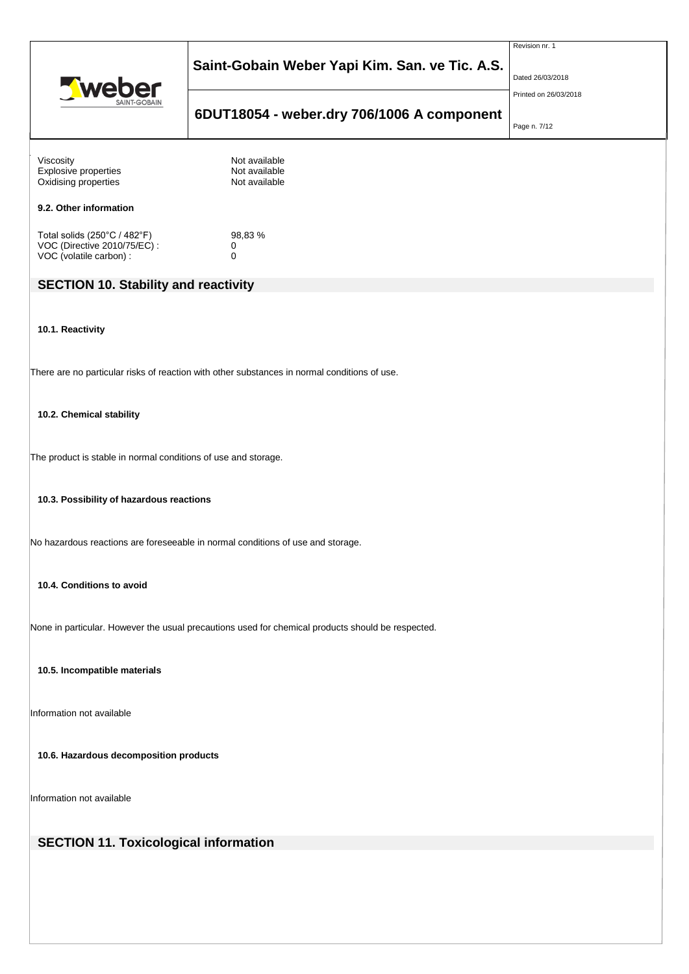

**6DUT18054 - weber.dry 706/1006 A component**

Revision nr. 1

Dated 26/03/2018

Printed on 26/03/2018

# Page n. 7/12

| Viscosity<br>Explosive properties<br>Oxidising properties                                         | Not available<br>Not available<br>Not available                                              |  |  |  |  |
|---------------------------------------------------------------------------------------------------|----------------------------------------------------------------------------------------------|--|--|--|--|
| 9.2. Other information                                                                            |                                                                                              |  |  |  |  |
| Total solids (250°C / 482°F)<br>VOC (Directive 2010/75/EC) :<br>VOC (volatile carbon) :           | 98,83%<br>0<br>$\mathbf 0$                                                                   |  |  |  |  |
| <b>SECTION 10. Stability and reactivity</b>                                                       |                                                                                              |  |  |  |  |
| 10.1. Reactivity                                                                                  |                                                                                              |  |  |  |  |
|                                                                                                   | There are no particular risks of reaction with other substances in normal conditions of use. |  |  |  |  |
| 10.2. Chemical stability                                                                          |                                                                                              |  |  |  |  |
| The product is stable in normal conditions of use and storage.                                    |                                                                                              |  |  |  |  |
| 10.3. Possibility of hazardous reactions                                                          |                                                                                              |  |  |  |  |
|                                                                                                   | No hazardous reactions are foreseeable in normal conditions of use and storage.              |  |  |  |  |
| 10.4. Conditions to avoid                                                                         |                                                                                              |  |  |  |  |
| None in particular. However the usual precautions used for chemical products should be respected. |                                                                                              |  |  |  |  |
| 10.5. Incompatible materials                                                                      |                                                                                              |  |  |  |  |
| Information not available                                                                         |                                                                                              |  |  |  |  |
| 10.6. Hazardous decomposition products                                                            |                                                                                              |  |  |  |  |
| Information not available                                                                         |                                                                                              |  |  |  |  |
| <b>SECTION 11. Toxicological information</b>                                                      |                                                                                              |  |  |  |  |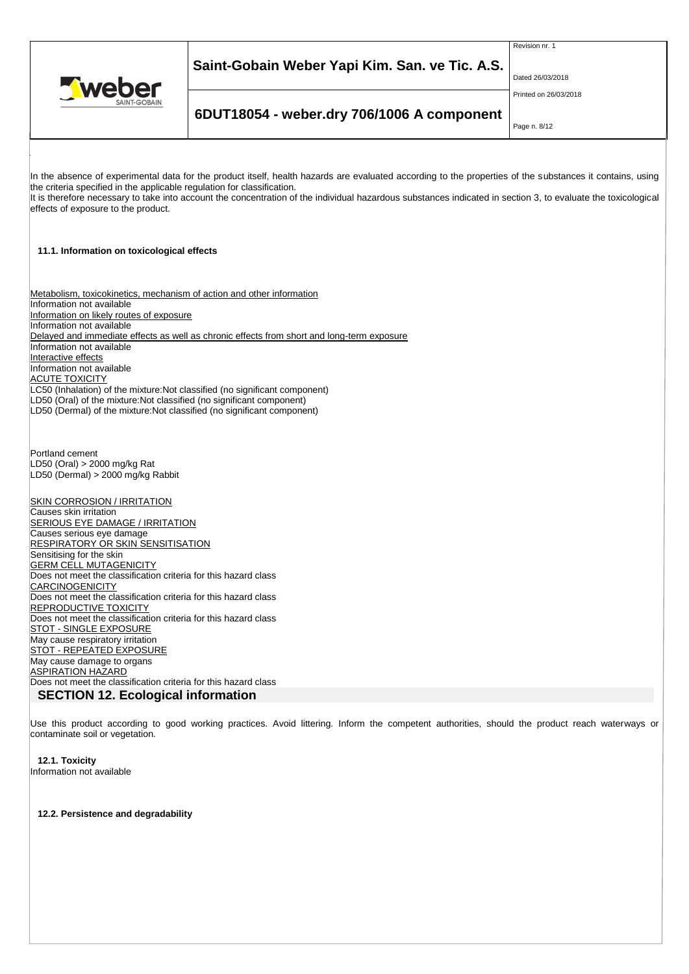

Revision nr. 1

Dated 26/03/2018

### Printed on 26/03/2018

# **6DUT18054 - weber.dry 706/1006 A component**

Page n. 8/12

In the absence of experimental data for the product itself, health hazards are evaluated according to the properties of the substances it contains, using the criteria specified in the applicable regulation for classification. It is therefore necessary to take into account the concentration of the individual hazardous substances indicated in section 3, to evaluate the toxicological effects of exposure to the product. **11.1. Information on toxicological effects** Metabolism, toxicokinetics, mechanism of action and other information Information not available Information on likely routes of exposure Information not available Delayed and immediate effects as well as chronic effects from short and long-term exposure Information not available Interactive effects Information not available **ACUTE TOXICITY** LC50 (Inhalation) of the mixture:Not classified (no significant component) LD50 (Oral) of the mixture:Not classified (no significant component) LD50 (Dermal) of the mixture:Not classified (no significant component) Portland cement LD50 (Oral) > 2000 mg/kg Rat LD50 (Dermal) > 2000 mg/kg Rabbit **SKIN CORROSION / IRRITATION** Causes skin irritation **SERIOUS EYE DAMAGE / IRRITATION** Causes serious eye damage **RESPIRATORY OR SKIN SENSITISATION** Sensitising for the skin GERM CELL MUTAGENICITY Does not meet the classification criteria for this hazard class **CARCINOGENICITY** Does not meet the classification criteria for this hazard class REPRODUCTIVE TOXICITY Does not meet the classification criteria for this hazard class **STOT - SINGLE EXPOSURE** May cause respiratory irritation STOT - REPEATED EXPOSURE May cause damage to organs ASPIRATION HAZARD Does not meet the classification criteria for this hazard class **SECTION 12. Ecological information**

Use this product according to good working practices. Avoid littering. Inform the competent authorities, should the product reach waterways or contaminate soil or vegetation.

**12.1. Toxicity** Information not available

**12.2. Persistence and degradability**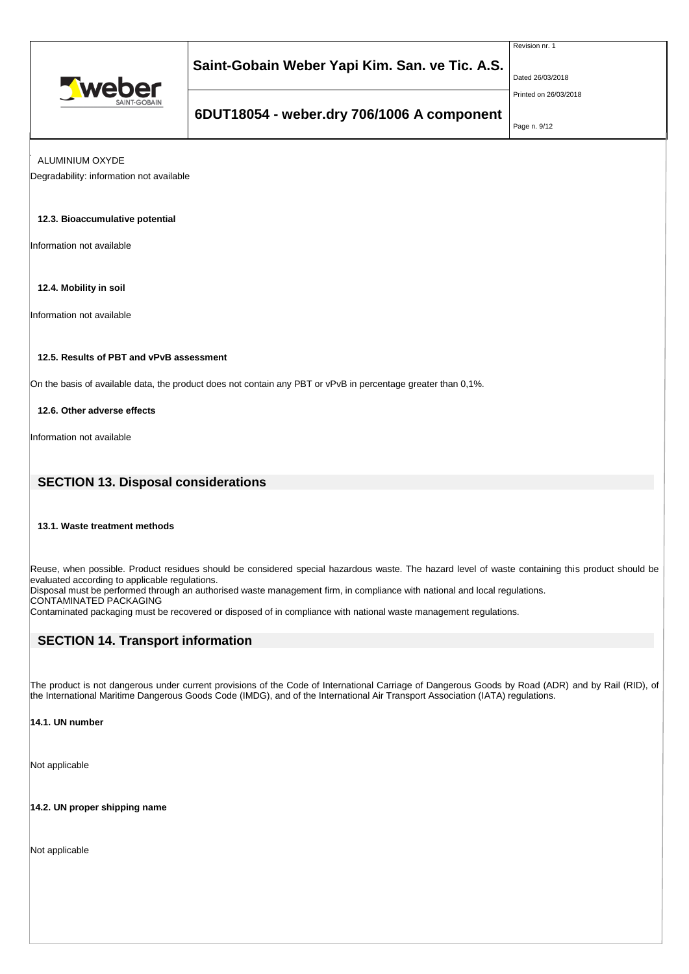

Revision nr. 1

Dated 26/03/2018

Printed on 26/03/2018

# **6DUT18054 - weber.dry 706/1006 A component**

Page n. 9/12

ALUMINIUM OXYDE

Degradability: information not available

## **12.3. Bioaccumulative potential**

Information not available

**12.4. Mobility in soil**

Information not available

## **12.5. Results of PBT and vPvB assessment**

On the basis of available data, the product does not contain any PBT or vPvB in percentage greater than 0,1%.

**12.6. Other adverse effects**

Information not available

## **SECTION 13. Disposal considerations**

## **13.1. Waste treatment methods**

Reuse, when possible. Product residues should be considered special hazardous waste. The hazard level of waste containing this product should be evaluated according to applicable regulations.

Disposal must be performed through an authorised waste management firm, in compliance with national and local regulations.

CONTAMINATED PACKAGING Contaminated packaging must be recovered or disposed of in compliance with national waste management regulations.

# **SECTION 14. Transport information**

The product is not dangerous under current provisions of the Code of International Carriage of Dangerous Goods by Road (ADR) and by Rail (RID), of the International Maritime Dangerous Goods Code (IMDG), and of the International Air Transport Association (IATA) regulations.

### **14.1. UN number**

Not applicable

**14.2. UN proper shipping name**

Not applicable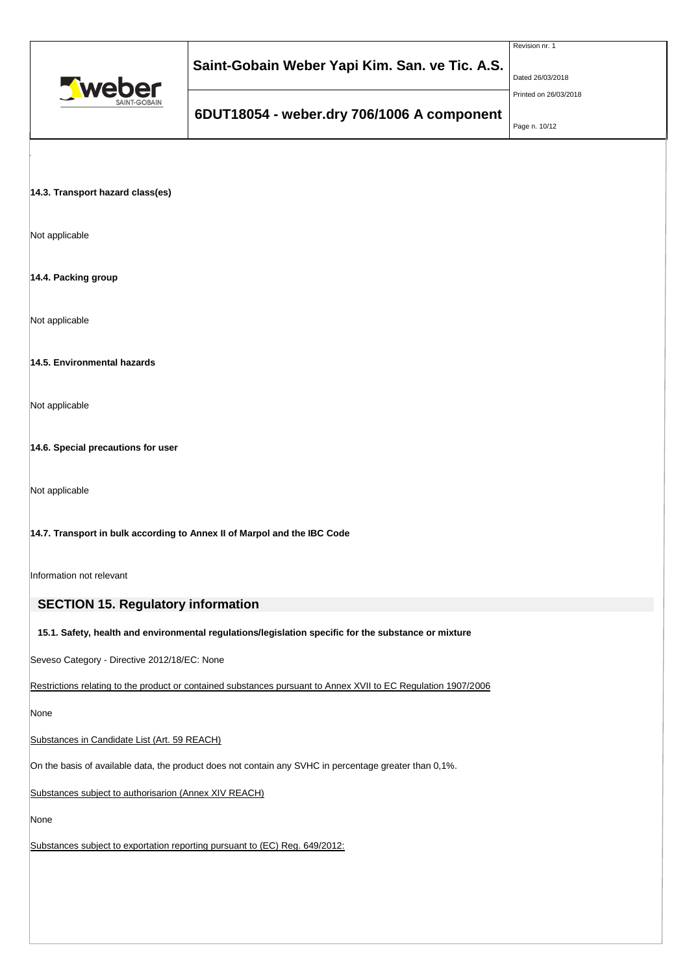

Revision nr. 1

Dated 26/03/2018

Printed on 26/03/2018

# **6DUT18054 - weber.dry 706/1006 A component**

Page n. 10/12

## **14.3. Transport hazard class(es)**

Not applicable

## **14.4. Packing group**

Not applicable

## **14.5. Environmental hazards**

Not applicable

**14.6. Special precautions for user**

Not applicable

## **14.7. Transport in bulk according to Annex II of Marpol and the IBC Code**

Information not relevant

# **SECTION 15. Regulatory information**

## **15.1. Safety, health and environmental regulations/legislation specific for the substance or mixture**

Seveso Category - Directive 2012/18/EC: None

Restrictions relating to the product or contained substances pursuant to Annex XVII to EC Regulation 1907/2006

None

Substances in Candidate List (Art. 59 REACH)

On the basis of available data, the product does not contain any SVHC in percentage greater than 0,1%.

Substances subject to authorisarion (Annex XIV REACH)

None

Substances subject to exportation reporting pursuant to (EC) Reg. 649/2012: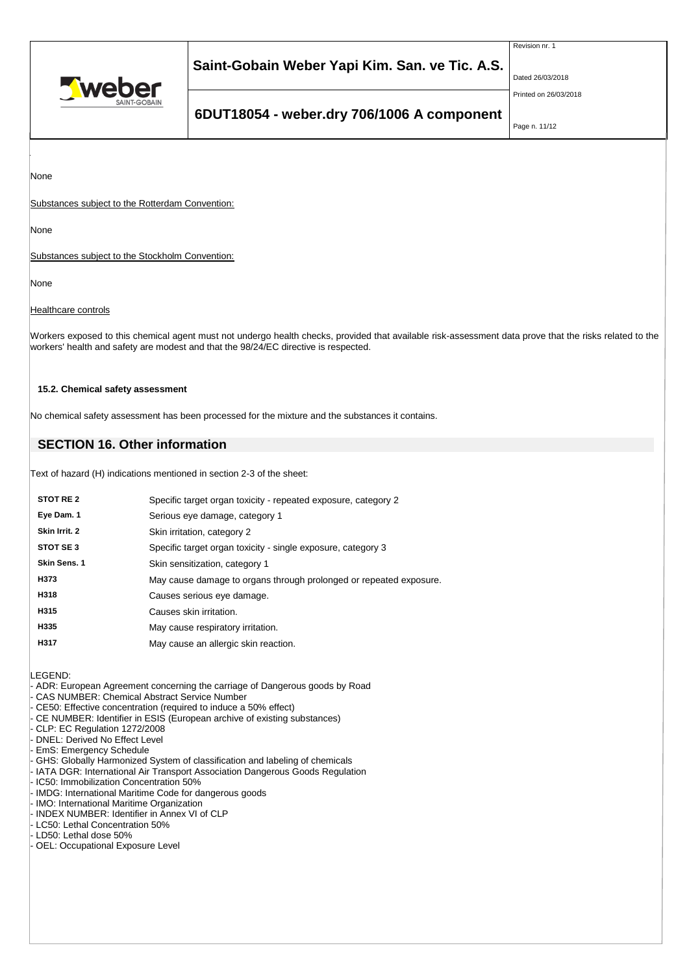

Revision nr. 1

Dated 26/03/2018

Printed on 26/03/2018

# **6DUT18054 - weber.dry 706/1006 A component**

Page n. 11/12

None

Substances subject to the Rotterdam Convention:

None

Substances subject to the Stockholm Convention:

None

## **Healthcare controls**

Workers exposed to this chemical agent must not undergo health checks, provided that available risk-assessment data prove that the risks related to the workers' health and safety are modest and that the 98/24/EC directive is respected.

## **15.2. Chemical safety assessment**

No chemical safety assessment has been processed for the mixture and the substances it contains.

# **SECTION 16. Other information**

Text of hazard (H) indications mentioned in section 2-3 of the sheet:

| Specific target organ toxicity - repeated exposure, category 2     |
|--------------------------------------------------------------------|
| Serious eye damage, category 1                                     |
| Skin irritation, category 2                                        |
| Specific target organ toxicity - single exposure, category 3       |
| Skin sensitization, category 1                                     |
| May cause damage to organs through prolonged or repeated exposure. |
| Causes serious eye damage.                                         |
| Causes skin irritation.                                            |
| May cause respiratory irritation.                                  |
| May cause an allergic skin reaction.                               |
|                                                                    |

LEGEND:

- ADR: European Agreement concerning the carriage of Dangerous goods by Road
- CAS NUMBER: Chemical Abstract Service Number
- CE50: Effective concentration (required to induce a 50% effect)
- CE NUMBER: Identifier in ESIS (European archive of existing substances)
- CLP: EC Regulation 1272/2008
- DNEL: Derived No Effect Level
- EmS: Emergency Schedule
- GHS: Globally Harmonized System of classification and labeling of chemicals
- IATA DGR: International Air Transport Association Dangerous Goods Regulation
- IC50: Immobilization Concentration 50%
- IMDG: International Maritime Code for dangerous goods
- IMO: International Maritime Organization INDEX NUMBER: Identifier in Annex VI of CLP
- LC50: Lethal Concentration 50%
- LD50: Lethal dose 50%
- OEL: Occupational Exposure Level